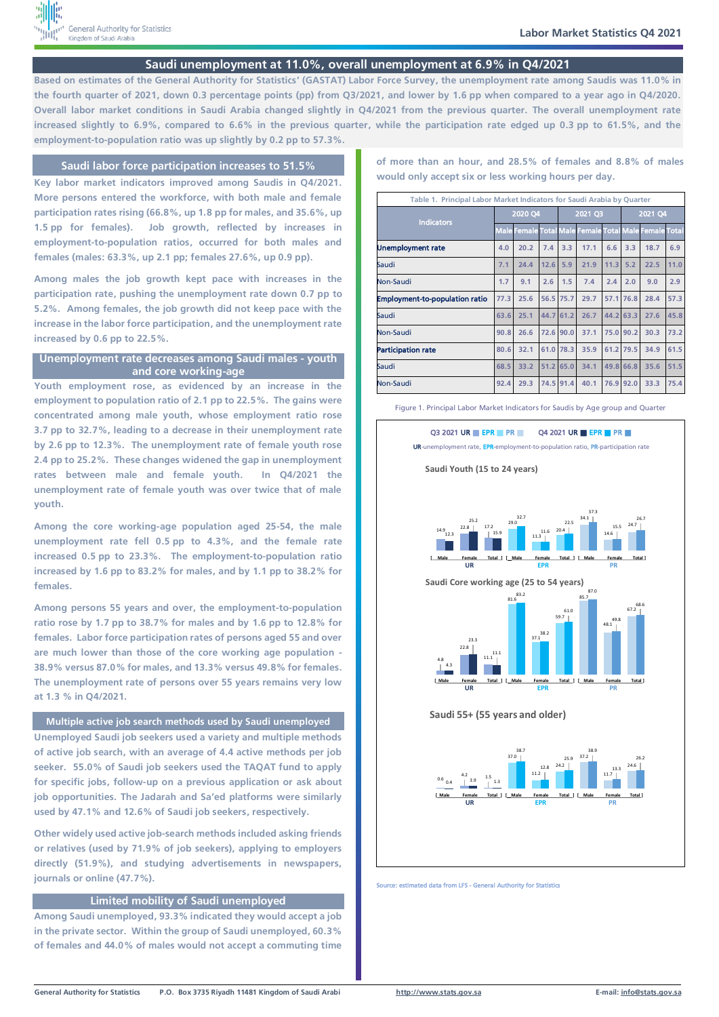

# **Saudi unemployment at 11.0%, overall unemployment at 6.9% in Q4/2021**

**Based on estimates of the General Authority for Statistics' (GASTAT) Labor Force Survey, the unemployment rate among Saudis was 11.0% in the fourth quarter of 2021, down 0.3 percentage points (pp) from Q3/2021, and lower by 1.6 pp when compared to a year ago in Q4/2020. Overall labor market conditions in Saudi Arabia changed slightly in Q4/2021 from the previous quarter. The overall unemployment rate increased slightly to 6.9%, compared to 6.6% in the previous quarter, while the participation rate edged up 0.3 pp to 61.5%, and the employment-to-population ratio was up slightly by 0.2 pp to 57.3%.**

## **Saudi labor force participation increases to 51.5%**

**Key labor market indicators improved among Saudis in Q4/2021. More persons entered the workforce, with both male and female participation rates rising (66.8%, up 1.8 pp for males, and 35.6%, up 1.5 pp for females). Job growth, reflected by increases in employment-to-population ratios, occurred for both males and females (males: 63.3%, up 2.1 pp; females 27.6%, up 0.9 pp).**

**Among males the job growth kept pace with increases in the participation rate, pushing the unemployment rate down 0.7 pp to 5.2%. Among females, the job growth did not keep pace with the increase in the labor force participation, and the unemployment rate increased by 0.6 pp to 22.5%.**

## **Unemployment rate decreases among Saudi males - youth and core working-age**

**Youth employment rose, as evidenced by an increase in the employment to population ratio of 2.1 pp to 22.5%. The gains were concentrated among male youth, whose employment ratio rose 3.7 pp to 32.7%, leading to a decrease in their unemployment rate by 2.6 pp to 12.3%. The unemployment rate of female youth rose 2.4 pp to 25.2%. These changes widened the gap in unemployment rates between male and female youth. In Q4/2021 the unemployment rate of female youth was over twice that of male youth.**

**Among the core working-age population aged 25-54, the male unemployment rate fell 0.5 pp to 4.3%, and the female rate increased 0.5 pp to 23.3%. The employment-to-population ratio increased by 1.6 pp to 83.2% for males, and by 1.1 pp to 38.2% for females.**

**Among persons 55 years and over, the employment-to-population ratio rose by 1.7 pp to 38.7% for males and by 1.6 pp to 12.8% for females. Labor force participation rates of persons aged 55 and over are much lower than those of the core working age population - 38.9% versus 87.0% for males, and 13.3% versus 49.8% for females. The unemployment rate of persons over 55 years remains very low at 1.3 % in Q4/2021.**

#### **Multiple active job search methods used by Saudi unemployed**

**Unemployed Saudi job seekers used a variety and multiple methods of active job search, with an average of 4.4 active methods per job seeker. 55.0% of Saudi job seekers used the TAQAT fund to apply for specific jobs, follow-up on a previous application or ask about job opportunities. The Jadarah and Sa'ed platforms were similarly used by 47.1% and 12.6% of Saudi job seekers, respectively.**

**Other widely used active job-search methods included asking friends or relatives (used by 71.9% of job seekers), applying to employers directly (51.9%), and studying advertisements in newspapers, journals or online (47.7%).**

### **Limited mobility of Saudi unemployed**

**Among Saudi unemployed, 93.3% indicated they would accept a job in the private sector. Within the group of Saudi unemployed, 60.3% of females and 44.0% of males would not accept a commuting time** 

**of more than an hour, and 28.5% of females and 8.8% of males would only accept six or less working hours per day.**

| Table 1. Principal Labor Market Indicators for Saudi Arabia by Quarter |      |                                                       |           |           |      |      |           |      |      |
|------------------------------------------------------------------------|------|-------------------------------------------------------|-----------|-----------|------|------|-----------|------|------|
| <b>Indicators</b>                                                      |      | 2020 Q4                                               |           | 2021 Q3   |      |      | 2021 Q4   |      |      |
|                                                                        |      | Male Female Total Male Female Total Male Female Total |           |           |      |      |           |      |      |
| Unemployment rate                                                      | 4.0  | 20.2                                                  | 7.4       | 3.3       | 17.1 | 6.6  | 3.3       | 18.7 | 6.9  |
| Saudi                                                                  | 7.1  | 24.4                                                  | 12.6      | 5.9       | 21.9 | 11.3 | 5.2       | 22.5 | 11.0 |
| Non-Saudi                                                              | 1.7  | 9.1                                                   | 2.6       | 1.5       | 7.4  | 2.4  | 2.0       | 9.0  | 2.9  |
| <b>Employment-to-population ratio</b>                                  | 77.3 | 25.6                                                  | 56.5 75.7 |           | 29.7 |      | 57.1 76.8 | 28.4 | 57.3 |
| Saudi                                                                  | 63.6 | 25.1                                                  | 44.7 61.2 |           | 26.7 |      | 44.2 63.3 | 27.6 | 45.8 |
| Non-Saudi                                                              | 90.8 | 26.6                                                  | 72.6 90.0 |           | 37.1 |      | 75.0 90.2 | 30.3 | 73.2 |
| <b>Participation rate</b>                                              | 80.6 | 32.1                                                  | 61.0      | 78.3      | 35.9 |      | 61.2 79.5 | 34.9 | 61.5 |
| Saudi                                                                  | 68.5 | 33.2                                                  | 51.2      | 65.0      | 34.1 |      | 49.8 66.8 | 35.6 | 51.5 |
| Non-Saudi                                                              | 92.4 | 29.3                                                  |           | 74.5 91.4 | 40.1 |      | 76.9 92.0 | 33.3 | 75.4 |

#### Figure 1. Principal Labor Market Indicators for Saudis by Age group and Quarter







Source: estimated data from LFS - General Authority for Statistics